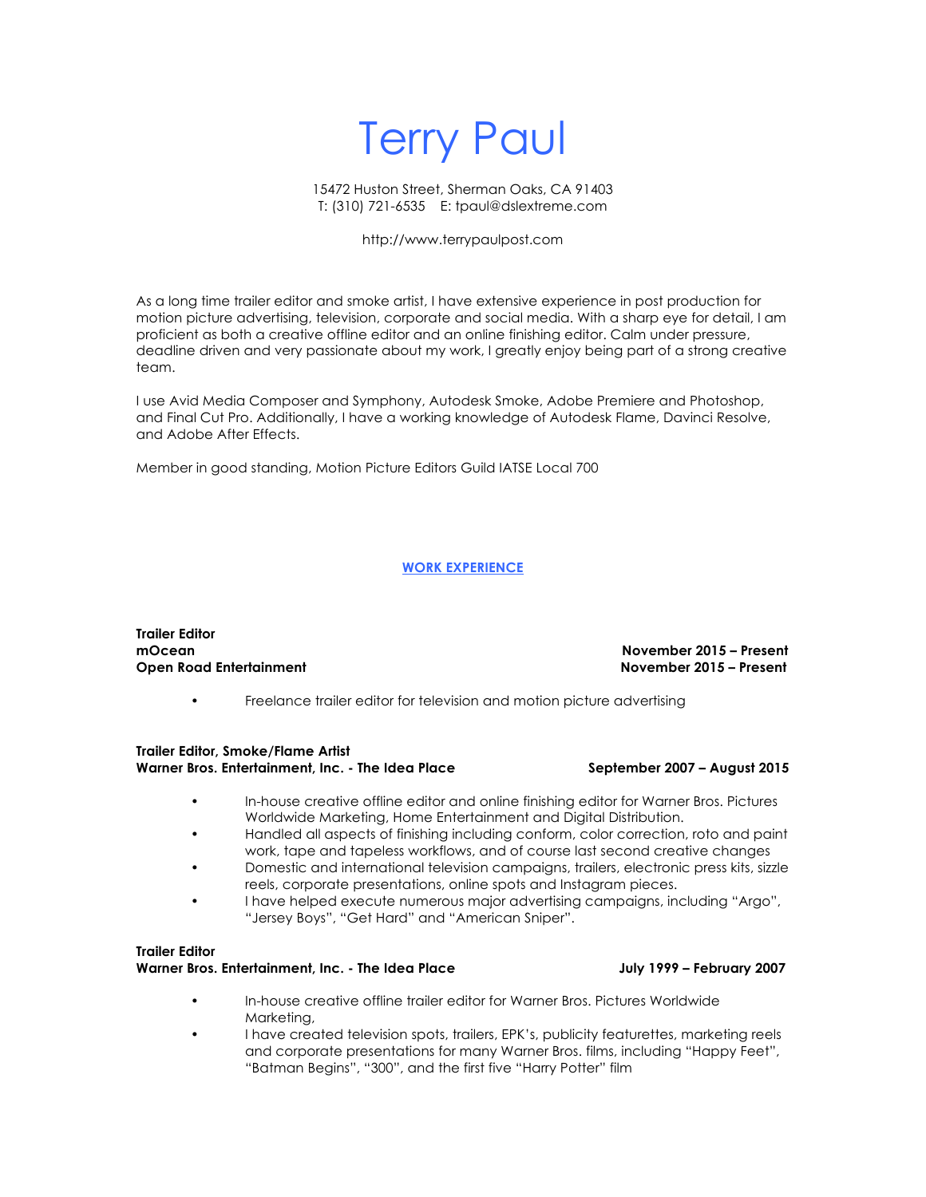# Terry Paul

### 15472 Huston Street, Sherman Oaks, CA 91403 T: (310) 721-6535 E: tpaul@dslextreme.com

### http://www.terrypaulpost.com

As a long time trailer editor and smoke artist, I have extensive experience in post production for motion picture advertising, television, corporate and social media. With a sharp eye for detail, I am proficient as both a creative offline editor and an online finishing editor. Calm under pressure, deadline driven and very passionate about my work, I greatly enjoy being part of a strong creative team.

I use Avid Media Composer and Symphony, Autodesk Smoke, Adobe Premiere and Photoshop, and Final Cut Pro. Additionally, I have a working knowledge of Autodesk Flame, Davinci Resolve, and Adobe After Effects.

Member in good standing, Motion Picture Editors Guild IATSE Local 700

### **WORK EXPERIENCE**

**Trailer Editor mOcean November 2015 – Present**

**Open Road Entertainment November 2015 – Present**

• Freelance trailer editor for television and motion picture advertising

### **Trailer Editor, Smoke/Flame Artist Warner Bros. Entertainment, Inc. - The Idea Place September 2007 – August 2015**

- In-house creative offline editor and online finishing editor for Warner Bros. Pictures Worldwide Marketing, Home Entertainment and Digital Distribution.
- Handled all aspects of finishing including conform, color correction, roto and paint work, tape and tapeless workflows, and of course last second creative changes
- Domestic and international television campaigns, trailers, electronic press kits, sizzle reels, corporate presentations, online spots and Instagram pieces.
- I have helped execute numerous major advertising campaigns, including "Argo", "Jersey Boys", "Get Hard" and "American Sniper".

### **Trailer Editor** Warner Bros. Entertainment, Inc. - The Idea Place **July 1999 - February 2007**

- In-house creative offline trailer editor for Warner Bros. Pictures Worldwide Marketing,
- I have created television spots, trailers, EPK's, publicity featurettes, marketing reels and corporate presentations for many Warner Bros. films, including "Happy Feet", "Batman Begins", "300", and the first five "Harry Potter" film